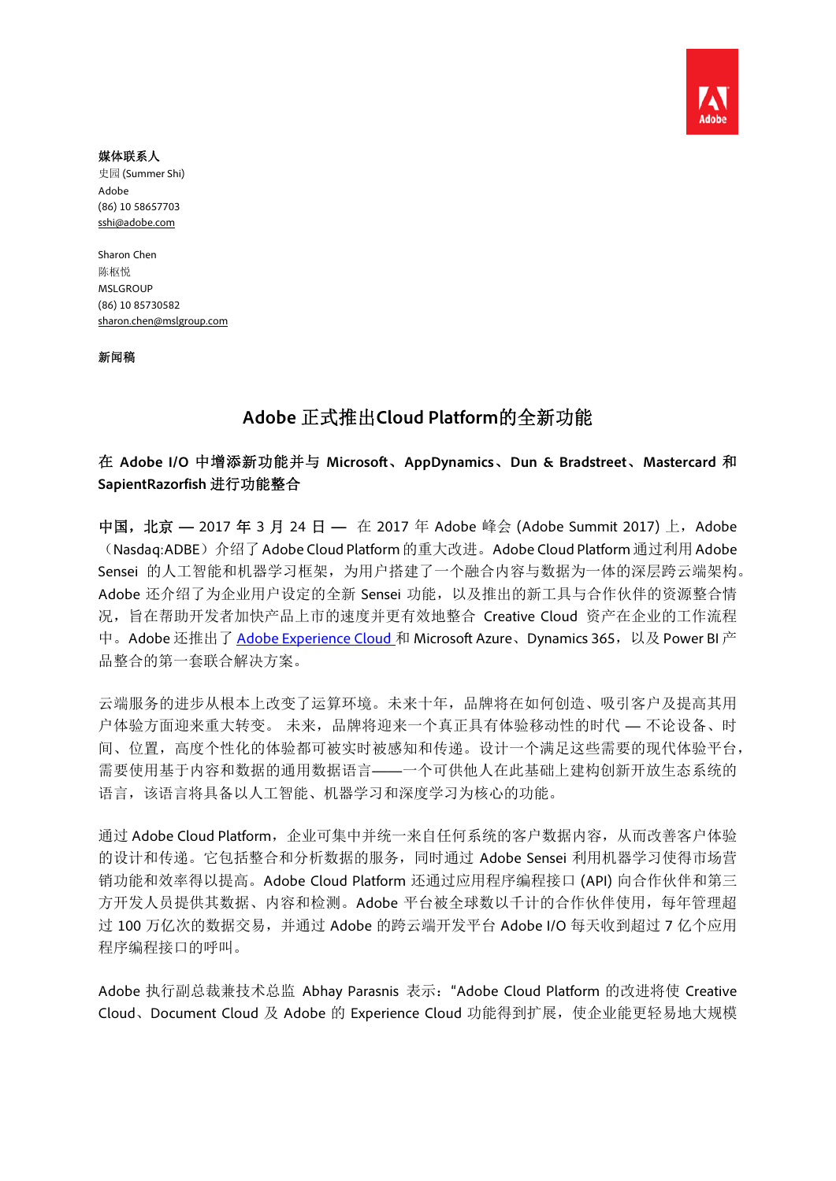

#### 媒体联系人

史园 (Summer Shi) Adobe (86) 10 58657703 sshi@adobe.com

Sharon Chen 陈枢悦 MSLGROUP (86) 10 85730582 sharon.chen@mslgroup.com

新闻稿

# **Adobe** 正式推出**Cloud Platform**的全新功能

在 **Adobe I/O** 中增添新功能并与 **Microsoft**、**AppDynamics**、**Dun & Bradstreet**、**Mastercard** 和 **SapientRazorfish** 进行功能整合

中国,北京 — 2017 年 3 月 24 日 — 在 2017 年 Adobe 峰会 (Adobe Summit 2017) 上, Adobe (Nasdaq:ADBE)介绍了Adobe Cloud Platform的重大改进。Adobe Cloud Platform通过利用Adobe Sensei 的人工智能和机器学习框架,为用户搭建了一个融合内容与数据为一体的深层跨云端架构。 Adobe 还介绍了为企业用户设定的全新 Sensei 功能,以及推出的新工具与合作伙伴的资源整合情 况,旨在帮助开发者加快产品上市的速度并更有效地整合 Creative Cloud 资产在企业的工作流程 中。Adobe 还推出了 Adobe Experience Cloud 和 Microsoft Azure、Dynamics 365,以及 Power BI 产 品整合的第一套联合解决方案。

云端服务的进步从根本上改变了运算环境。未来十年,品牌将在如何创造、吸引客户及提高其用 户体验方面迎来重大转变。 未来,品牌将迎来一个真正具有体验移动性的时代 — 不论设备、时 间、位置,高度个性化的体验都可被实时被感知和传递。设计一个满足这些需要的现代体验平台, 需要使用基于内容和数据的通用数据语言——一个可供他人在此基础上建构创新开放生态系统的 语言,该语言将具备以人工智能、机器学习和深度学习为核心的功能。

通过 Adobe Cloud Platform, 企业可集中并统一来自任何系统的客户数据内容, 从而改善客户体验 的设计和传递。它包括整合和分析数据的服务,同时通过 Adobe Sensei 利用机器学习使得市场营 销功能和效率得以提高。Adobe Cloud Platform 还通过应用程序编程接口 (API) 向合作伙伴和第三 方开发人员提供其数据、内容和检测。Adobe 平台被全球数以千计的合作伙伴使用,每年管理超 过 100 万亿次的数据交易,并通过 Adobe 的跨云端开发平台 Adobe I/O 每天收到超过 7 亿个应用 程序编程接口的呼叫。

Adobe 执行副总裁兼技术总监 Abhay Parasnis 表示:"Adobe Cloud Platform 的改进将使 Creative Cloud、Document Cloud 及 Adobe 的 Experience Cloud 功能得到扩展, 使企业能更轻易地大规模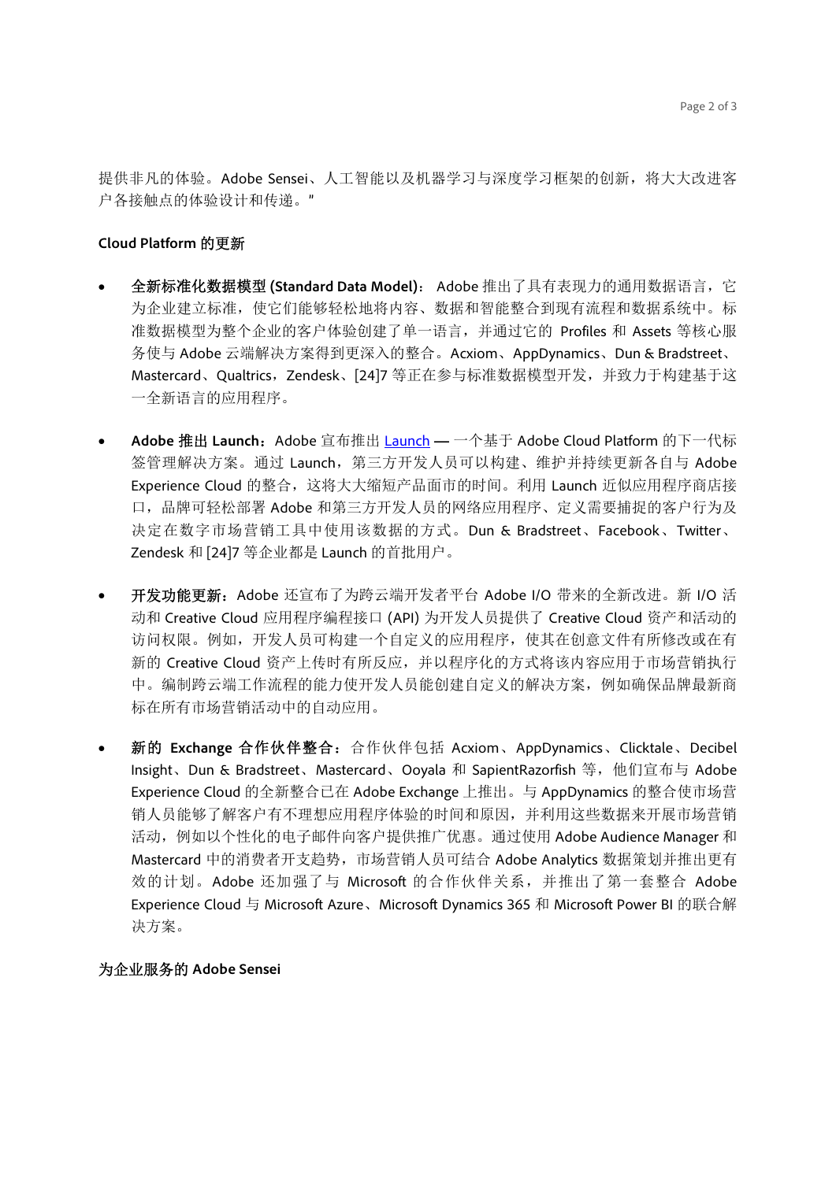提供非凡的体验。Adobe Sensei、人工智能以及机器学习与深度学习框架的创新,将大大改进客 户各接触点的体验设计和传递。"

#### **Cloud Platform** 的更新

- 全新标准化数据模型 **(Standard Data Model)**: Adobe 推出了具有表现力的通用数据语言,它 为企业建立标准,使它们能够轻松地将内容、数据和智能整合到现有流程和数据系统中。标 准数据模型为整个企业的客户体验创建了单一语言,并通过它的 Profiles 和 Assets 等核心服 务使与 Adobe 云端解决方案得到更深入的整合。Acxiom、AppDynamics、Dun & Bradstreet、 Mastercard、Qualtrics, Zendesk、[24]7 等正在参与标准数据模型开发, 并致力于构建基于这 一全新语言的应用程序。
- Adobe 推出 Launch: Adobe 宣布推出 Launch 一个基于 Adobe Cloud Platform 的下一代标 签管理解决方案。通过 Launch, 第三方开发人员可以构建、维护并持续更新各自与 Adobe Experience Cloud 的整合,这将大大缩短产品面市的时间。利用 Launch 近似应用程序商店接 口,品牌可轻松部署 Adobe 和第三方开发人员的网络应用程序、定义需要捕捉的客户行为及 决定在数字市场营销工具中使用该数据的方式。Dun & Bradstreet、Facebook、Twitter、 Zendesk 和 [24]7 等企业都是 Launch 的首批用户。
- 开发功能更新: Adobe 还宣布了为跨云端开发者平台 Adobe I/O 带来的全新改进。新 I/O 活 动和 Creative Cloud 应用程序编程接口 (API) 为开发人员提供了 Creative Cloud 资产和活动的 访问权限。例如,开发人员可构建一个自定义的应用程序,使其在创意文件有所修改或在有 新的 Creative Cloud 资产上传时有所反应,并以程序化的方式将该内容应用于市场营销执行 中。编制跨云端工作流程的能力使开发人员能创建自定义的解决方案,例如确保品牌最新商 标在所有市场营销活动中的自动应用。
- 新的 **Exchange** 合作伙伴整合:合作伙伴包括 Acxiom、AppDynamics、Clicktale、Decibel Insight、Dun & Bradstreet、Mastercard、Ooyala 和 SapientRazorfish 等, 他们宣布与 Adobe Experience Cloud 的全新整合已在 Adobe Exchange 上推出。与 AppDynamics 的整合使市场营 销人员能够了解客户有不理想应用程序体验的时间和原因,并利用这些数据来开展市场营销 活动, 例如以个性化的电子邮件向客户提供推广优惠。通过使用 Adobe Audience Manager 和 Mastercard 中的消费者开支趋势,市场营销人员可结合 Adobe Analytics 数据策划并推出更有 效的计划。Adobe 还加强了与 Microsoft 的合作伙伴关系,并推出了第一套整合 Adobe Experience Cloud 与 Microsoft Azure、Microsoft Dynamics 365 和 Microsoft Power BI 的联合解 决方案。

#### 为企业服务的 **Adobe Sensei**